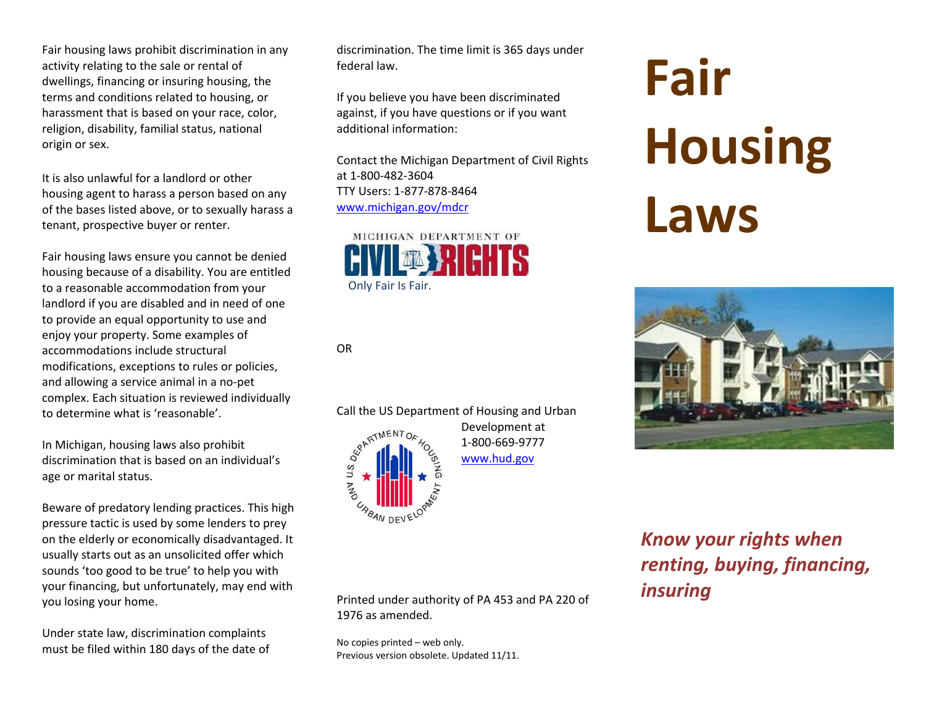Fair housing laws prohibit discrimination in any activity relating to the sale or rental of dwellings, financing or insuring housing, the terms and conditions related to housing, or harassment that is based on your race, color, religion, disability, familial status, national origin or sex.

It is also unlawful for <sup>a</sup> landlord or other housing agent to harass <sup>a</sup> person based on any of the bases listed above, or to sexually harass <sup>a</sup> tenant, prospective buyer or renter.

Fair housing laws ensure you cannot be denied housing because of <sup>a</sup> disability. You are entitled to <sup>a</sup> reasonable accommodation from your landlord if you are disabled and in need of one to provide an equal opportunity to use and enjoy your property. Some examples of accommodations include structural modifications, exceptions to rules or policies, and allowing <sup>a</sup> service animal in <sup>a</sup> no‐pet complex. Each situation is reviewed individually to determine what is 'reasonable'.

In Michigan, housing laws also prohibit discrimination that is based on an individual's age or marital status.

Beware of predatory lending practices. This high pressure tactic is used by some lenders to prey on the elderly or economically disadvantaged. It usually starts out as an unsolicited offer which sounds 'too good to be true' to help you with your financing, but unfortunately, may end with you losing your home.

Under state law, discrimination complaints must be filed within 180 days of the date of discrimination. The time limit is 365 days under federal law.

If you believe you have been discriminated against, if you have questions or if you want additional information:

Contact the Michigan Department of Civil Rights at 1‐800‐482‐3604TTY Users: 1‐877‐878‐8464www.michigan.gov/mdcr



OR



Development at 1‐800‐669‐9777www.hud.gov

Printed under authority of PA 453 and PA 220 of 1976 as amended.

No copies printed – web only. Previous version obsolete. Updated 11/11.

## **Fair Housing Laws**



*Know your rights when renting, buying, financing, insuring*